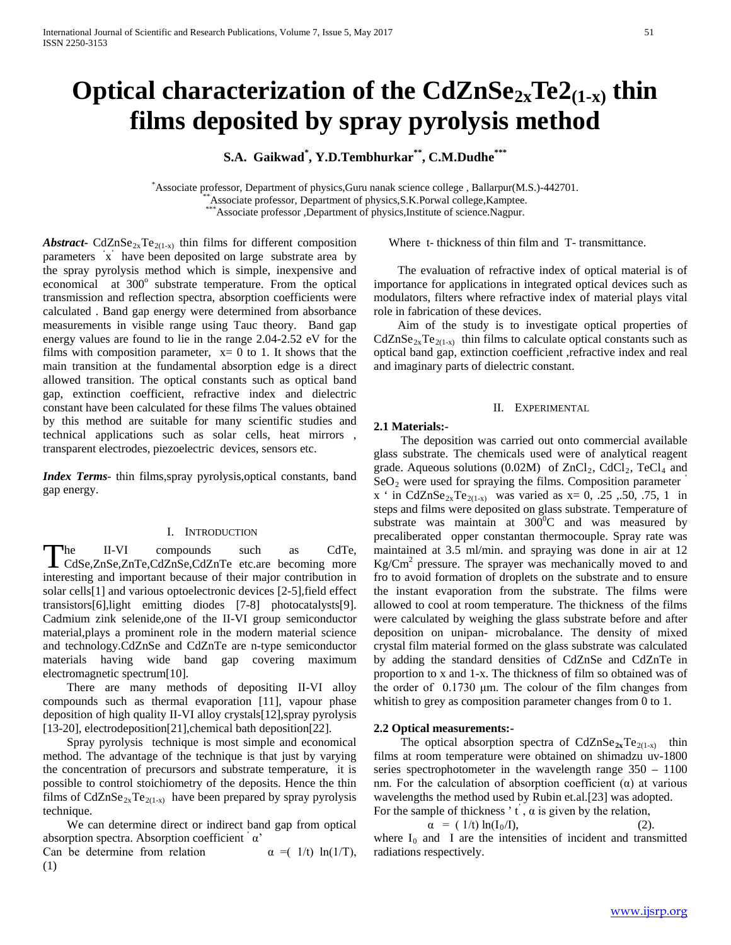# **Optical characterization of the CdZnSe2xTe2(1-x) thin films deposited by spray pyrolysis method**

**S.A. Gaikwad\* , Y.D.Tembhurkar\*\*, C.M.Dudhe\*\*\***

\* Associate professor, Department of physics,Guru nanak science college , Ballarpur(M.S.)-442701. \*\*Associate professor, Department of physics,S.K.Porwal college,Kamptee. \*\*Associate professor, Department of physics,S.K.Porwal college,Kamptee.<br>\*\*\*Associate professor ,Department of physics,Institute of science.Nagpur.

*Abstract***-** CdZnSe<sub>2x</sub>Te<sub>2(1-x)</sub> thin films for different composition parameters x have been deposited on large substrate area by the spray pyrolysis method which is simple, inexpensive and economical at  $300^\circ$  substrate temperature. From the optical transmission and reflection spectra, absorption coefficients were calculated . Band gap energy were determined from absorbance measurements in visible range using Tauc theory. Band gap energy values are found to lie in the range 2.04-2.52 eV for the films with composition parameter,  $x= 0$  to 1. It shows that the main transition at the fundamental absorption edge is a direct allowed transition. The optical constants such as optical band gap, extinction coefficient, refractive index and dielectric constant have been calculated for these films The values obtained by this method are suitable for many scientific studies and technical applications such as solar cells, heat mirrors , transparent electrodes, piezoelectric devices, sensors etc.

*Index Terms*- thin films,spray pyrolysis,optical constants, band gap energy.

#### I. INTRODUCTION

he II-VI compounds such as CdTe, CdSe,ZnSe,ZnTe,CdZnSe,CdZnTe etc.are becoming more The II-VI compounds such as CdTe,<br>CdSe,ZnSe,ZnTe,CdZnSe,CdZnTe etc.are becoming more<br>interesting and important because of their major contribution in solar cells[1] and various optoelectronic devices [2-5],field effect transistors[6],light emitting diodes [7-8] photocatalysts[9]. Cadmium zink selenide,one of the II-VI group semiconductor material,plays a prominent role in the modern material science and technology.CdZnSe and CdZnTe are n-type semiconductor materials having wide band gap covering maximum electromagnetic spectrum[10].

 There are many methods of depositing II-VI alloy compounds such as thermal evaporation [11], vapour phase deposition of high quality II-VI alloy crystals[12],spray pyrolysis [13-20], electrodeposition[21],chemical bath deposition[22].

 Spray pyrolysis technique is most simple and economical method. The advantage of the technique is that just by varying the concentration of precursors and substrate temperature, it is possible to control stoichiometry of the deposits. Hence the thin films of CdZnSe<sub>2x</sub>Te<sub>2(1-x)</sub> have been prepared by spray pyrolysis technique.

 We can determine direct or indirect band gap from optical absorption spectra. Absorption coefficient  $\alpha$ 

Can be determine from relation  $\alpha = (1/t) \ln(1/T)$ , (1)

Where t- thickness of thin film and T- transmittance.

 The evaluation of refractive index of optical material is of importance for applications in integrated optical devices such as modulators, filters where refractive index of material plays vital role in fabrication of these devices.

 Aim of the study is to investigate optical properties of  $CdZnSe_{2x}Te_{2(1-x)}$  thin films to calculate optical constants such as optical band gap, extinction coefficient ,refractive index and real and imaginary parts of dielectric constant.

#### II. EXPERIMENTAL

## **2.1 Materials:-**

 The deposition was carried out onto commercial available glass substrate. The chemicals used were of analytical reagent grade. Aqueous solutions (0.02M) of  $ZnCl<sub>2</sub>$ , CdCl<sub>2</sub>, TeCl<sub>4</sub> and  $SeO<sub>2</sub>$  were used for spraying the films. Composition parameter x ' in CdZnSe<sub>2x</sub>Te<sub>2(1-x)</sub> was varied as  $x = 0, .25, .50, .75, 1$  in steps and films were deposited on glass substrate. Temperature of substrate was maintain at  $300^{\circ}$ C and was measured by precaliberated opper constantan thermocouple. Spray rate was maintained at 3.5 ml/min. and spraying was done in air at 12  $Kg/Cm<sup>2</sup>$  pressure. The sprayer was mechanically moved to and fro to avoid formation of droplets on the substrate and to ensure the instant evaporation from the substrate. The films were allowed to cool at room temperature. The thickness of the films were calculated by weighing the glass substrate before and after deposition on unipan- microbalance. The density of mixed crystal film material formed on the glass substrate was calculated by adding the standard densities of CdZnSe and CdZnTe in proportion to x and 1-x. The thickness of film so obtained was of the order of 0.1730 μm. The colour of the film changes from whitish to grey as composition parameter changes from 0 to 1.

#### **2.2 Optical measurements:-**

The optical absorption spectra of  $CdZnSe_{2x}Te_{2(1-x)}$  thin films at room temperature were obtained on shimadzu uv-1800 series spectrophotometer in the wavelength range 350 – 1100 nm. For the calculation of absorption coefficient  $(\alpha)$  at various wavelengths the method used by Rubin et.al.[23] was adopted.

For the sample of thickness ' t',  $\alpha$  is given by the relation,  $\alpha = (1/t) \ln(I_0/I),$  (2).

where  $I_0$  and I are the intensities of incident and transmitted radiations respectively.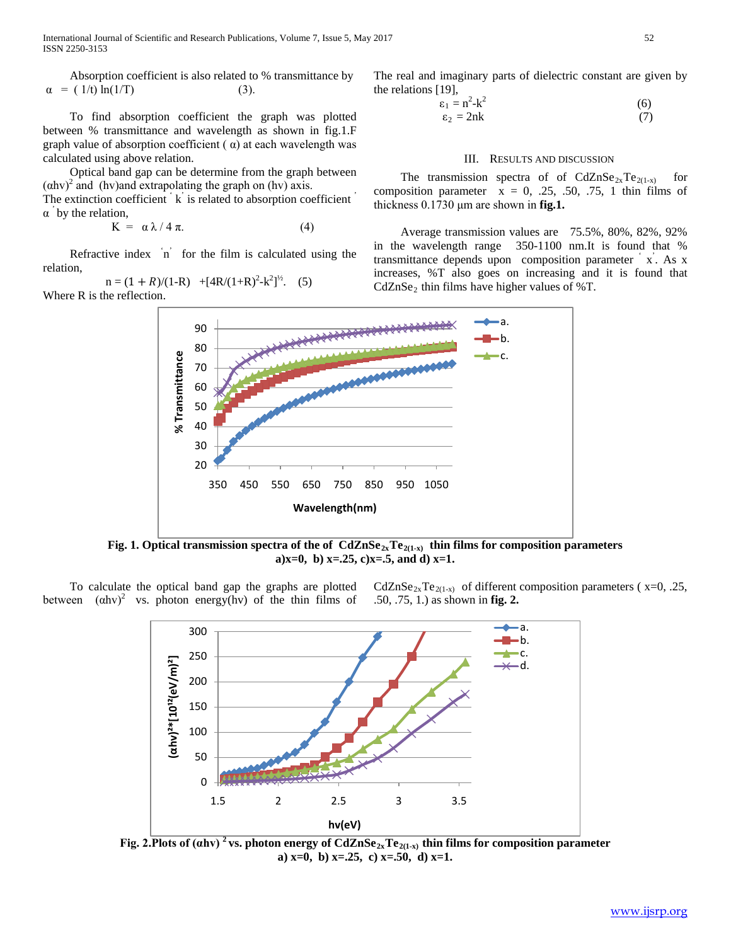International Journal of Scientific and Research Publications, Volume 7, Issue 5, May 2017 52 ISSN 2250-3153

Absorption coefficient is also related to % transmittance by 
$$
\alpha = (1/t) \ln(1/T)
$$
 (3).

 To find absorption coefficient the graph was plotted between % transmittance and wavelength as shown in fig.1.F graph value of absorption coefficient  $( \alpha )$  at each wavelength was calculated using above relation.

 Optical band gap can be determine from the graph between  $(\text{ahv})^2$  and (hv)and extrapolating the graph on (hv) axis.

The extinction coefficient  $k$  is related to absorption coefficient  $\alpha$  by the relation,

 $K = \alpha \lambda / 4 \pi.$  (4)

Refractive index n<sup>'</sup> for the film is calculated using the relation,

$$
n = (1 + R)/(1 - R) + [4R/(1 + R)^{2} - k^{2}]^{\frac{1}{2}}.
$$
 (5)   
Where R is the reflection.

The real and imaginary parts of dielectric constant are given by the relations [19],

$$
\begin{aligned}\n\epsilon_1 &= n^2 - k^2\\ \n\epsilon_2 &= 2nk\n\end{aligned} \tag{6}
$$

#### III. RESULTS AND DISCUSSION

The transmission spectra of of  $CdZnSe_{2x}Te_{2(1-x)}$  for composition parameter  $x = 0$ , .25, .50, .75, 1 thin films of thickness 0.1730 μm are shown in **fig.1.**

 Average transmission values are 75.5%, 80%, 82%, 92% in the wavelength range 350-1100 nm.It is found that % transmittance depends upon composition parameter ' x' . As x increases, %T also goes on increasing and it is found that  $CdZnSe<sub>2</sub>$  thin films have higher values of %T.



Fig. 1. Optical transmission spectra of the of  $CdZnSe_{2x}Te_{2(1-x)}$  thin films for composition parameters **a)x=0, b) x=.25, c)x=.5, and d) x=1.**

 To calculate the optical band gap the graphs are plotted between  $(ahv)^2$  vs. photon energy(hv) of the thin films of CdZnSe<sub>2x</sub>Te<sub>2(1-x)</sub> of different composition parameters ( $x=0$ , .25, .50, .75, 1.) as shown in **fig. 2.**



**Fig. 2.Plots of (αhᴠ) 2 vs. photon energy of CdZnSe2xTe2(1-x) thin films for composition parameter a) x=0, b) x=.25, c) x=.50, d) x=1.**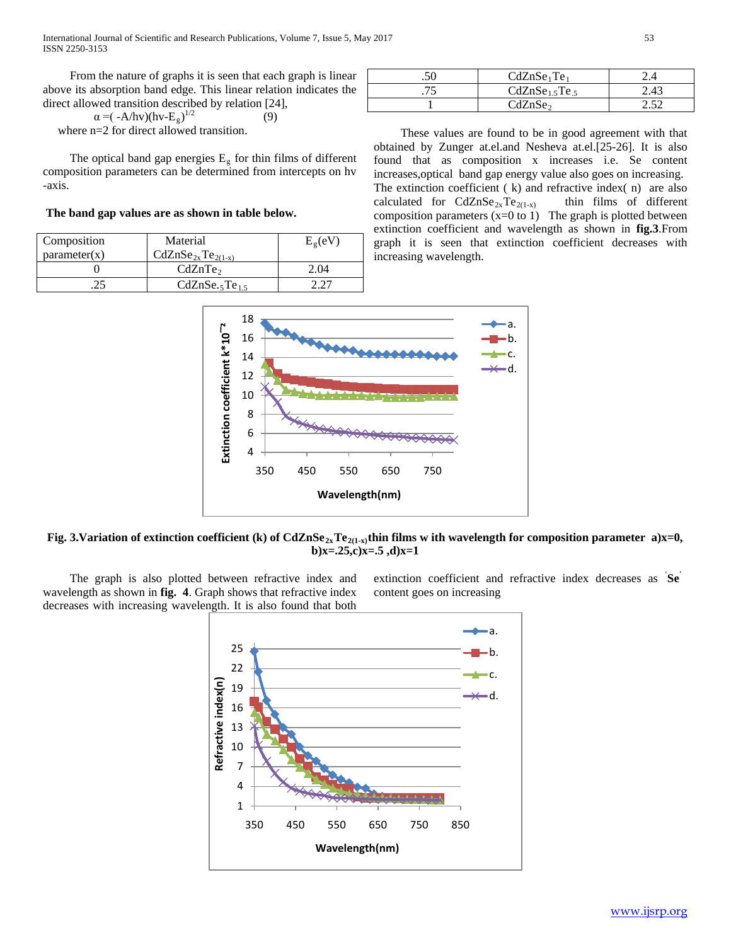$(9)$ 

 From the nature of graphs it is seen that each graph is linear above its absorption band edge. This linear relation indicates the direct allowed transition described by relation [24],

$$
\alpha = (-A/hv)(hv - E_g)^{1/2}
$$

where n=2 for direct allowed transition.

The optical band gap energies  $E<sub>g</sub>$  for thin films of different composition parameters can be determined from intercepts on hv -axis.

## **The band gap values are as shown in table below.**

| Composition  | Material                               | $E_g(eV)$ |
|--------------|----------------------------------------|-----------|
| parameter(x) | $CdZnSe_{2x}Te_{2(1-x)}$               |           |
|              | CdZnTe <sub>2</sub>                    | 2.04      |
|              | CdZnSe. <sub>5</sub> Te <sub>1.5</sub> |           |

| .50 | CdZnSe <sub>1</sub> Te <sub>1</sub>    |      |
|-----|----------------------------------------|------|
|     | CdZnSe <sub>1.5</sub> Te <sub>.5</sub> | 2.43 |
|     | CdZnSe <sub>2</sub>                    |      |

 These values are found to be in good agreement with that obtained by Zunger at.el.and Nesheva at.el.[25-26]. It is also found that as composition x increases i.e. Se content increases,optical band gap energy value also goes on increasing. The extinction coefficient  $(k)$  and refractive index $(n)$  are also calculated for  $CdZnSe_{2x}Te_{2(1-x)}$  thin films of different composition parameters  $(x=0 \text{ to } 1)$  The graph is plotted between extinction coefficient and wavelength as shown in **fig.3**.From graph it is seen that extinction coefficient decreases with increasing wavelength.



Fig. 3. Variation of extinction coefficient (k) of CdZnSe<sub>2x</sub>Te<sub>2(1-x)</sub>thin films w ith wavelength for composition parameter a)x=0, **b)x=.25,c)x=.5 ,d)x=1**

 The graph is also plotted between refractive index and wavelength as shown in **fig. 4**. Graph shows that refractive index decreases with increasing wavelength. It is also found that both

extinction coefficient and refractive index decreases as ' **Se**' content goes on increasing

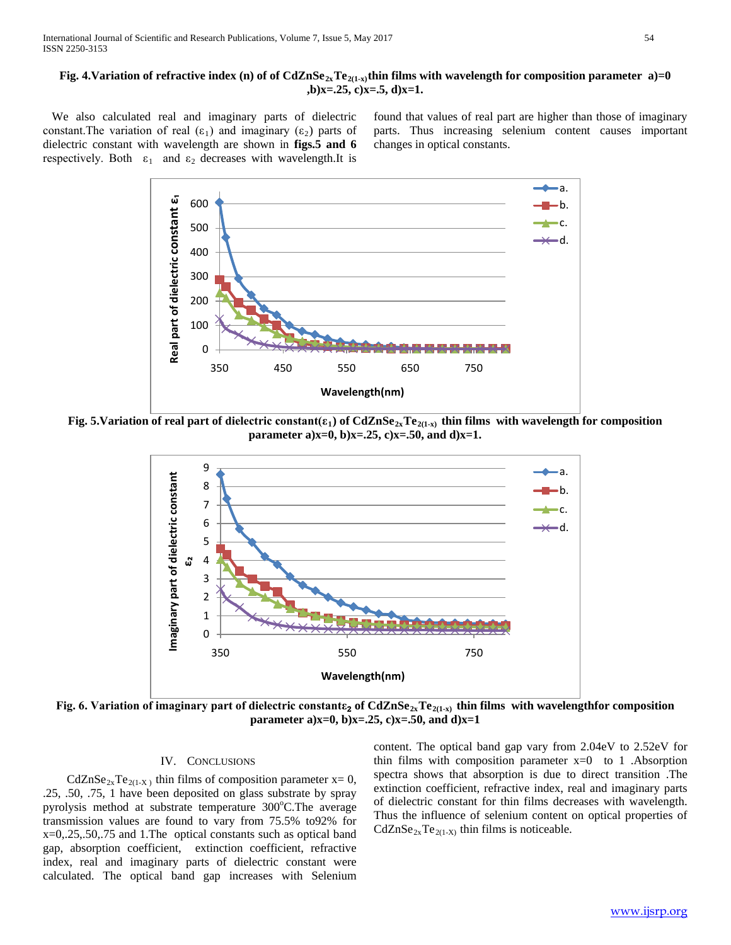## **Fig. 4.Variation of refractive index (n) of of CdZnSe<sub>2x</sub>Te<sub>2(1-x)</sub>thin films with wavelength for composition parameter a)=0 ,b)x=.25, c)x=.5, d)x=1.**

 We also calculated real and imaginary parts of dielectric constant. The variation of real  $(\epsilon_1)$  and imaginary  $(\epsilon_2)$  parts of dielectric constant with wavelength are shown in **figs.5 and 6** respectively. Both  $\varepsilon_1$  and  $\varepsilon_2$  decreases with wavelength.It is

found that values of real part are higher than those of imaginary parts. Thus increasing selenium content causes important changes in optical constants.



**Fig. 5.Variation of real part of dielectric constant(ε<sub>1</sub>) of CdZnSe<sub>2x</sub>Te<sub>2(1-x)</sub> thin films with wavelength for composition parameter a)x=0, b)x=.25, c)x=.50, and d)x=1.**



**Fig. 6. Variation of imaginary part of dielectric constants<sub>2</sub> of CdZnSe<sub>2x</sub>Te<sub>2(1-x)</sub> thin films with wavelengthfor composition parameter a)**x=0, **b**)x=.25, **c**)x=.50, and **d**)x=1

#### IV. CONCLUSIONS

CdZnSe<sub>2x</sub>Te<sub>2(1-X</sub>) thin films of composition parameter x= 0, .25, .50, .75, 1 have been deposited on glass substrate by spray pyrolysis method at substrate temperature 300°C.The average transmission values are found to vary from 75.5% to92% for x=0,.25,.50,.75 and 1.The optical constants such as optical band gap, absorption coefficient, extinction coefficient, refractive index, real and imaginary parts of dielectric constant were calculated. The optical band gap increases with Selenium

content. The optical band gap vary from 2.04eV to 2.52eV for thin films with composition parameter  $x=0$  to 1 .Absorption spectra shows that absorption is due to direct transition .The extinction coefficient, refractive index, real and imaginary parts of dielectric constant for thin films decreases with wavelength. Thus the influence of selenium content on optical properties of CdZnSe<sub>2x</sub>Te<sub>2(1-X)</sub> thin films is noticeable.